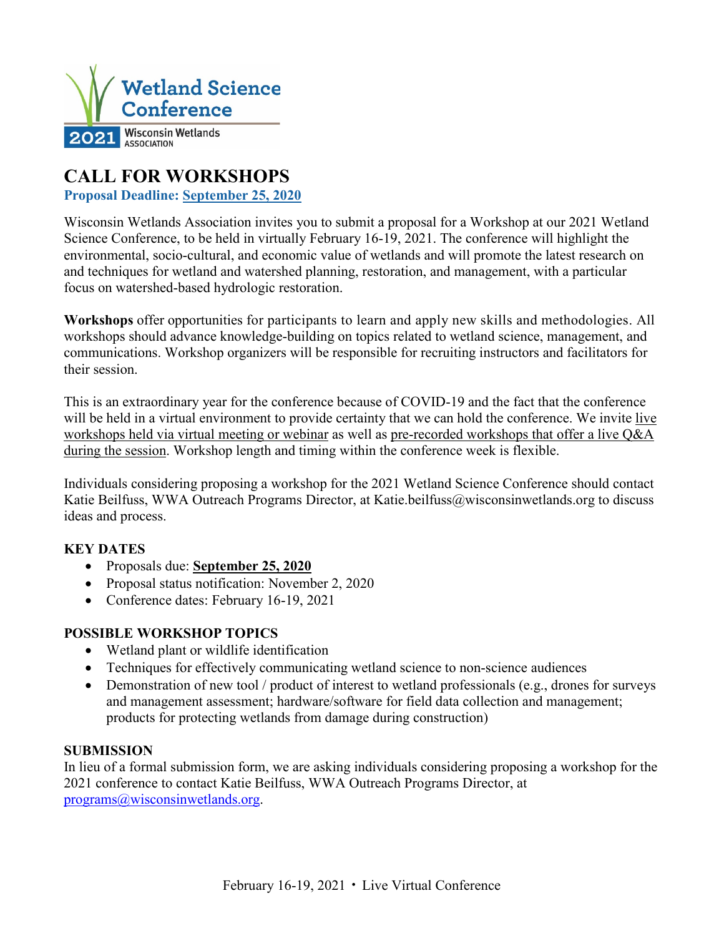

# **CALL FOR WORKSHOPS**

**Proposal Deadline: September 25, 2020**

Wisconsin Wetlands Association invites you to submit a proposal for a Workshop at our 2021 Wetland Science Conference, to be held in virtually February 16-19, 2021. The conference will highlight the environmental, socio-cultural, and economic value of wetlands and will promote the latest research on and techniques for wetland and watershed planning, restoration, and management, with a particular focus on watershed-based hydrologic restoration.

**Workshops** offer opportunities for participants to learn and apply new skills and methodologies. All workshops should advance knowledge-building on topics related to wetland science, management, and communications. Workshop organizers will be responsible for recruiting instructors and facilitators for their session.

This is an extraordinary year for the conference because of COVID-19 and the fact that the conference will be held in a virtual environment to provide certainty that we can hold the conference. We invite live workshops held via virtual meeting or webinar as well as pre-recorded workshops that offer a live Q&A during the session. Workshop length and timing within the conference week is flexible.

Individuals considering proposing a workshop for the 2021 Wetland Science Conference should contact Katie Beilfuss, WWA Outreach Programs Director, at Katie.beilfuss@wisconsinwetlands.org to discuss ideas and process.

# **KEY DATES**

- Proposals due: **September 25, 2020**
- Proposal status notification: November 2, 2020
- Conference dates: February 16-19, 2021

## **POSSIBLE WORKSHOP TOPICS**

- Wetland plant or wildlife identification
- Techniques for effectively communicating wetland science to non-science audiences
- Demonstration of new tool / product of interest to wetland professionals (e.g., drones for surveys and management assessment; hardware/software for field data collection and management; products for protecting wetlands from damage during construction)

## **SUBMISSION**

In lieu of a formal submission form, we are asking individuals considering proposing a workshop for the 2021 conference to contact Katie Beilfuss, WWA Outreach Programs Director, at [programs@wisconsinwetlands.org.](mailto:programs@wisconsinwetlands.org)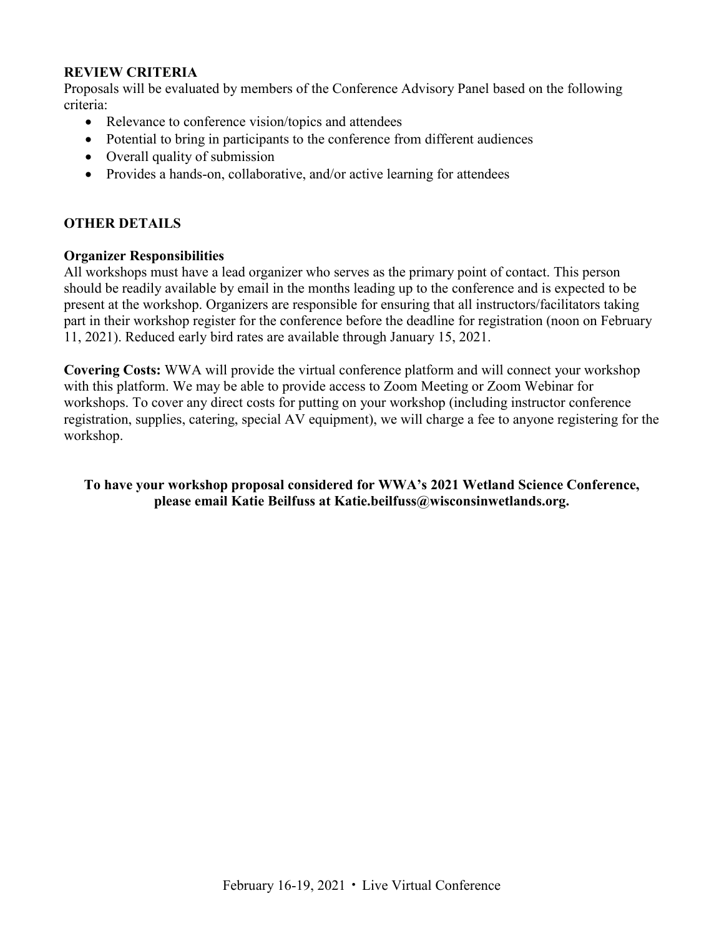#### **REVIEW CRITERIA**

Proposals will be evaluated by members of the Conference Advisory Panel based on the following criteria:

- Relevance to conference vision/topics and attendees
- Potential to bring in participants to the conference from different audiences
- Overall quality of submission
- Provides a hands-on, collaborative, and/or active learning for attendees

#### **OTHER DETAILS**

#### **Organizer Responsibilities**

All workshops must have a lead organizer who serves as the primary point of contact. This person should be readily available by email in the months leading up to the conference and is expected to be present at the workshop. Organizers are responsible for ensuring that all instructors/facilitators taking part in their workshop register for the conference before the deadline for registration (noon on February 11, 2021). Reduced early bird rates are available through January 15, 2021.

**Covering Costs:** WWA will provide the virtual conference platform and will connect your workshop with this platform. We may be able to provide access to Zoom Meeting or Zoom Webinar for workshops. To cover any direct costs for putting on your workshop (including instructor conference registration, supplies, catering, special AV equipment), we will charge a fee to anyone registering for the workshop.

**To have your workshop proposal considered for WWA's 2021 Wetland Science Conference, please email Katie Beilfuss at Katie.beilfuss@wisconsinwetlands.org.**